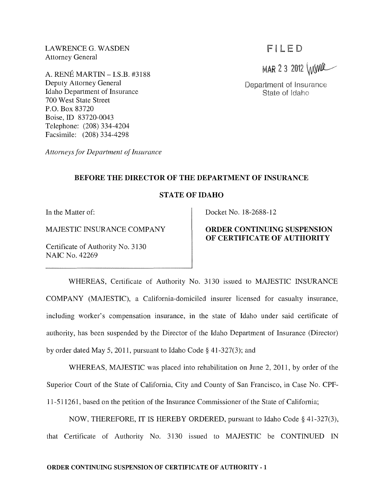LAWRENCE G. WASDEN Attorney General

A. RENE MARTIN - LS.B. #3188 Deputy Attorney General Idaho Department of Insurance 700 West State Street P.O. Box 83720 Boise, ID 83720-0043 Telephone: (208) 334-4204 Facsimile: (208) 334-4298

*Attorneys for Department of Insurance* 

# FILED

MAR 2 3 2012 WWR

Department of Insurance State of Idaho

### BEFORE THE DIRECTOR OF THE DEPARTMENT OF INSURANCE

### STATE OF IDAHO

In the Matter of:

MAJESTIC INSURANCE COMPANY

Certificate of Authority No. 3130 NAIC No. 42269

Docket No. 18-2688-12

# ORDER CONTINUING SUSPENSION OF CERTIFICATE OF AUTHORITY

WHEREAS, Certificate of Authority No. 3130 issued to MAJESTIC INSURANCE COMPANY (MAJESTIC), a California-domiciled insurer licensed for casualty insurance, including worker's compensation insurance, in the state of Idaho under said certificate of authority, has been suspended by the Director of the Idaho Department of Insurance (Director) by order dated May 5,2011, pursuant to Idaho Code § 41-327(3); and

WHEREAS, MAJESTIC was placed into rehabilitation on June 2, 2011, by order of the Superior Court of the State of California, City and County of San Francisco, in Case No. CPF-11-511261, based on the petition of the Insurance Commissioner of the State of California;

NOW, THEREFORE, IT IS HEREBY ORDERED, pursuant to Idaho Code § 41-327(3), that Certificate of Authority No. 3130 issued to MAJESTIC be CONTINUED IN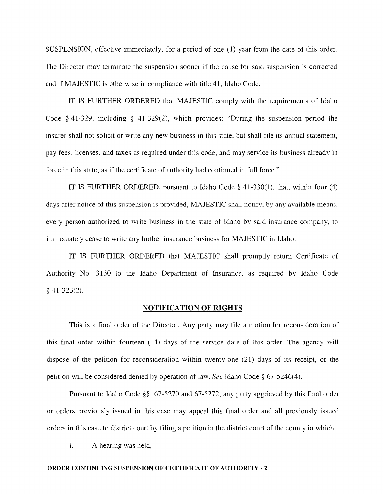SUSPENSION, effective immediately, for a period of one (1) year from the date of this order. The Director may terminate the suspension sooner if the cause for said suspension is corrected and if MAJESTIC is otherwise in compliance with title 41, Idaho Code.

IT IS FURTHER ORDERED that MAJESTIC comply with the requirements of Idaho Code § 41-329, including § 41-329(2), which provides: "During the suspension period the insurer shall not solicit or write any new business in this state, but shall file its annual statement, pay fees, licenses, and taxes as required under this code, and may service its business already in force in this state, as if the certificate of authority had continued in full force."

IT IS FURTHER ORDERED, pursuant to Idaho Code § 41-330(1), that, within four (4) days after notice of this suspension is provided, MAJESTIC shall notify, by any available means, every person authorized to write business in the state of Idaho by said insurance company, to immediately cease to write any further insurance business for MAJESTIC in Idaho.

IT IS FURTHER ORDERED that MAJESTIC shall promptly return Certificate of Authority No. 3130 to the Idaho Department of Insurance, as required by Idaho Code § 41-323(2).

#### NOTIFICATION OF RIGHTS

This is a final order of the Director. Any party may file a motion for reconsideration of this final order within fourteen (14) days of the service date of this order. The agency will dispose of the petition for reconsideration within twenty-one (21) days of its receipt, or the petition will be considered denied by operation of law. *See* Idaho Code § 67-5246(4).

Pursuant to Idaho Code §§ 67-5270 and 67-5272, any party aggrieved by this final order or orders previously issued in this case may appeal this final order and all previously issued orders in this case to district court by filing a petition in the district court of the county in which:

i. A hearing was held,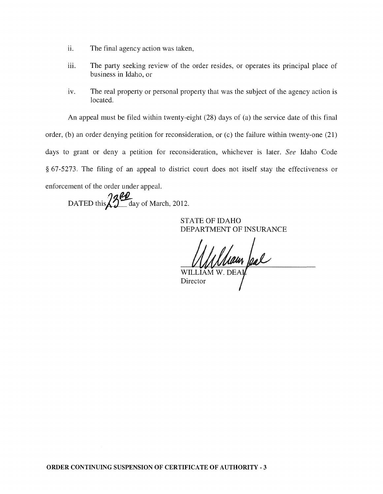- ii. The final agency action was taken,
- iii. The party seeking review of the order resides, or operates its principal place of business in Idaho, or
- iv. The real property or personal property that was the subject of the agency action is located.

An appeal must be filed within twenty-eight (28) days of (a) the service date of this final

order, (b) an order denying petition for reconsideration, or (c) the failure within twenty-one (21) days to grant or deny a petition for reconsideration, whichever is later. *See* Idaho Code § 67-5273. The filing of an appeal to district court does not itself stay the effectiveness or enforcement of the order under appeal.

DATED this  $3\frac{12}{1}$  day of March, 2012.

STATE OF IDAHO DEPARTMENT OF INSURANCE

Main feal

WILLIAM Director